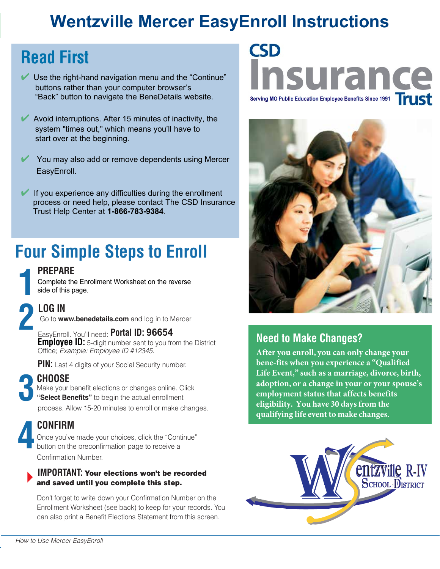## **Wentzville Mercer EasyEnroll Instructions**

## **Read First**

- Use the right-hand navigation menu and the "Continue" buttons rather than your computer browser's "Back" button to navigate the BeneDetails website.
- Avoid interruptions. After 15 minutes of inactivity, the system "times out," which means you'll have to start over at the beginning.
- ✔ You may also add or remove dependents using Mercer EasyEnroll.
- If you experience any difficulties during the enrollment process or need help, please contact The CSD Insurance Trust Help Center at **1-866-783-9384**.

# **Four Simple Steps to Enroll**

## **PREPARE**

Complete the Enrollment Worksheet on the reverse side of this page.

**1**

Go to **www.benedetails.com** and log in to Mercer

**2 <b>LOG IN**<br>
Go to www.benedetails.com and log in to M<br>
EasyEnroll. You'll need: **Portal ID: 96654 Employee ID:** 5-digit number sent to you from the District Office; *Example: Employee ID #12345*.

**PIN:** Last 4 digits of your Social Security number.

**3 CHOOSE**

Make your benefit elections or changes online. Click **"Select Benefits"** to begin the actual enrollment process. Allow 15-20 minutes to enroll or make changes.

'

**4 CONFIRM**<br>
Direction on the<br>
position on the Once you've made your choices, click the "Continue" button on the preconfirmation page to receive a Confirmation Number.

### **IMPORTANT:** Your elections won't be recorded and saved until you complete this step.

Don't forget to write down your Confirmation Number on the Enrollment Worksheet (see back) to keep for your records. You can also print a Benefit Elections Statement from this screen.

# **CSD** surance Serving MO Public Education Employee Benefits Since 1991



## **Need to Make Changes?**

**After you enroll, you can only change your bene-fits when you experience a "Qualified Life Event," such as a marriage, divorce, birth, adoption, or a change in your or your spouse's employment status that affects benefits eligibility. You have 30 days from the qualifying life event to make changes.**